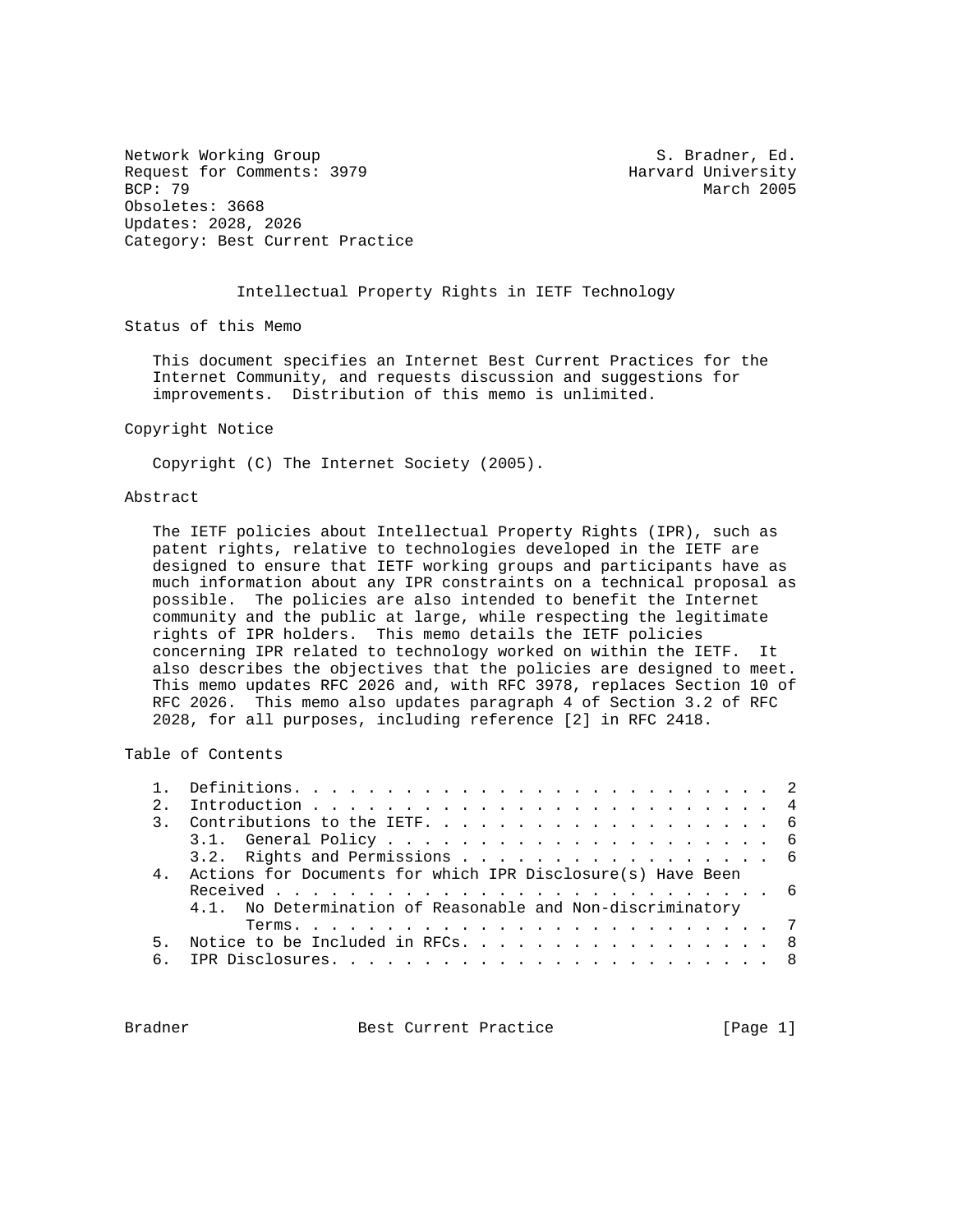Network Working Group S. Bradner, Ed. Request for Comments: 3979 Harvard University<br>BCP: 79 March 2005 Obsoletes: 3668 Updates: 2028, 2026 Category: Best Current Practice

March 2005

#### Intellectual Property Rights in IETF Technology

Status of this Memo

 This document specifies an Internet Best Current Practices for the Internet Community, and requests discussion and suggestions for improvements. Distribution of this memo is unlimited.

#### Copyright Notice

Copyright (C) The Internet Society (2005).

#### Abstract

 The IETF policies about Intellectual Property Rights (IPR), such as patent rights, relative to technologies developed in the IETF are designed to ensure that IETF working groups and participants have as much information about any IPR constraints on a technical proposal as possible. The policies are also intended to benefit the Internet community and the public at large, while respecting the legitimate rights of IPR holders. This memo details the IETF policies concerning IPR related to technology worked on within the IETF. It also describes the objectives that the policies are designed to meet. This memo updates RFC 2026 and, with RFC 3978, replaces Section 10 of RFC 2026. This memo also updates paragraph 4 of Section 3.2 of RFC 2028, for all purposes, including reference [2] in RFC 2418.

Table of Contents

| $2^{\circ}$    |                                                             |
|----------------|-------------------------------------------------------------|
|                |                                                             |
|                |                                                             |
|                | 3.2. Rights and Permissions 6                               |
| $\overline{4}$ | Actions for Documents for which IPR Disclosure(s) Have Been |
|                |                                                             |
|                | 4.1. No Determination of Reasonable and Non-discriminatory  |
|                |                                                             |
|                | 5. Notice to be Included in RFCs. 8                         |
|                |                                                             |
|                |                                                             |

Bradner Best Current Practice [Page 1]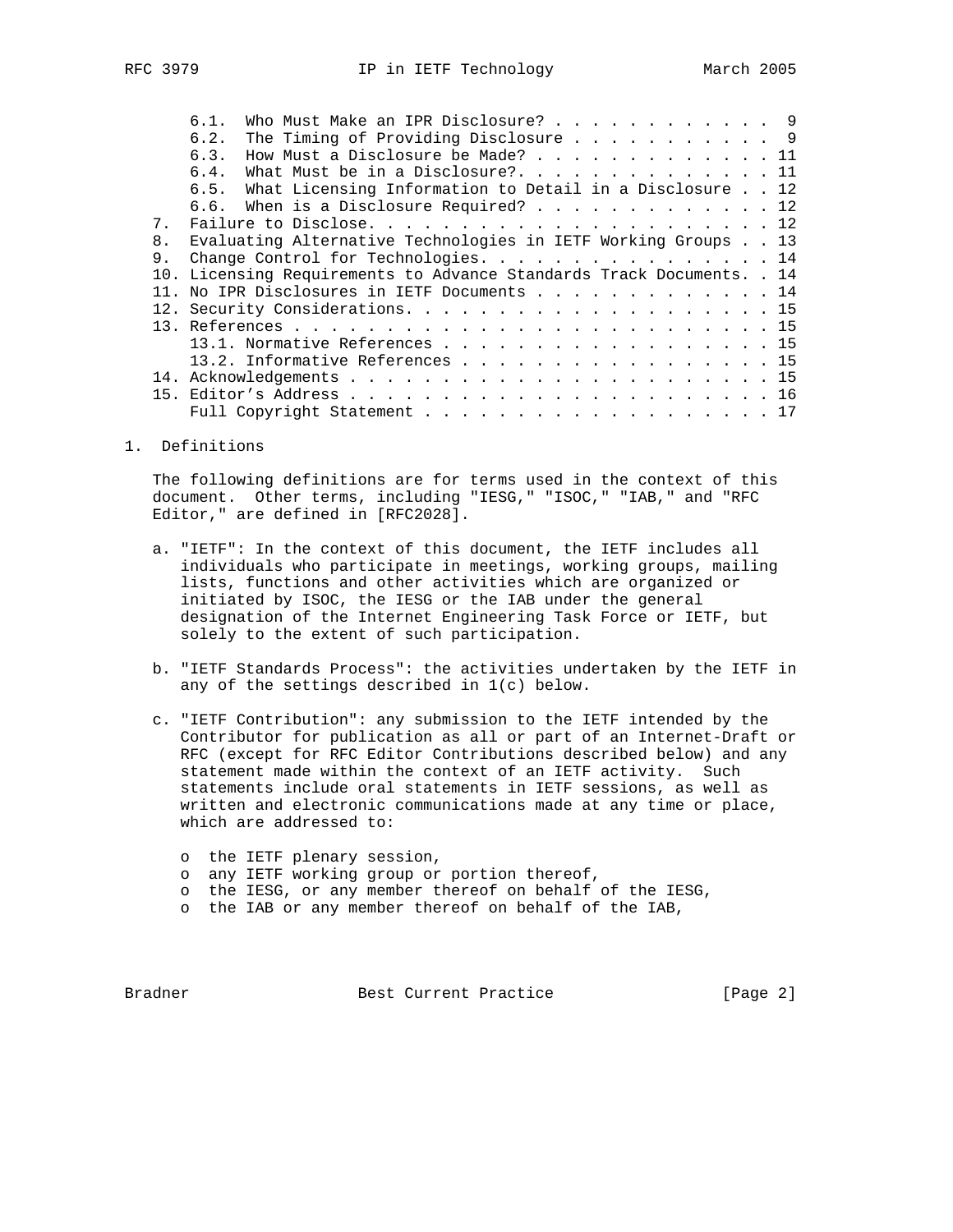|                | Who Must Make an IPR Disclosure? 9<br>6.1.                            |  |
|----------------|-----------------------------------------------------------------------|--|
|                | The Timing of Providing Disclosure 9<br>6.2.                          |  |
|                | How Must a Disclosure be Made? 11<br>6.3.                             |  |
|                | What Must be in a Disclosure?. 11<br>6.4.                             |  |
|                | 6.5. What Licensing Information to Detail in a Disclosure 12          |  |
|                | 6.6. When is a Disclosure Required? 12                                |  |
| 7 <sub>1</sub> |                                                                       |  |
| 8 <sub>1</sub> | Evaluating Alternative Technologies in IETF Working Groups 13         |  |
|                | Change Control for Technologies. 14                                   |  |
|                | 10. Licensing Requirements to Advance Standards Track Documents. . 14 |  |
|                | 11. No IPR Disclosures in IETF Documents 14                           |  |
|                |                                                                       |  |
|                |                                                                       |  |
|                | 13.1. Normative References 15                                         |  |
|                | 13.2. Informative References 15                                       |  |
|                |                                                                       |  |

- 15. Editor's Address . . . . . . . . . . . . . . . . . . . . . . . 16 Full Copyright Statement . . . . . . . . . . . . . . . . . . . 17
- 1. Definitions

 The following definitions are for terms used in the context of this document. Other terms, including "IESG," "ISOC," "IAB," and "RFC Editor," are defined in [RFC2028].

- a. "IETF": In the context of this document, the IETF includes all individuals who participate in meetings, working groups, mailing lists, functions and other activities which are organized or initiated by ISOC, the IESG or the IAB under the general designation of the Internet Engineering Task Force or IETF, but solely to the extent of such participation.
- b. "IETF Standards Process": the activities undertaken by the IETF in any of the settings described in 1(c) below.
- c. "IETF Contribution": any submission to the IETF intended by the Contributor for publication as all or part of an Internet-Draft or RFC (except for RFC Editor Contributions described below) and any statement made within the context of an IETF activity. Such statements include oral statements in IETF sessions, as well as written and electronic communications made at any time or place, which are addressed to:
	- o the IETF plenary session,
	- o any IETF working group or portion thereof,
	- o the IESG, or any member thereof on behalf of the IESG,
	- o the IAB or any member thereof on behalf of the IAB,

Bradner Best Current Practice [Page 2]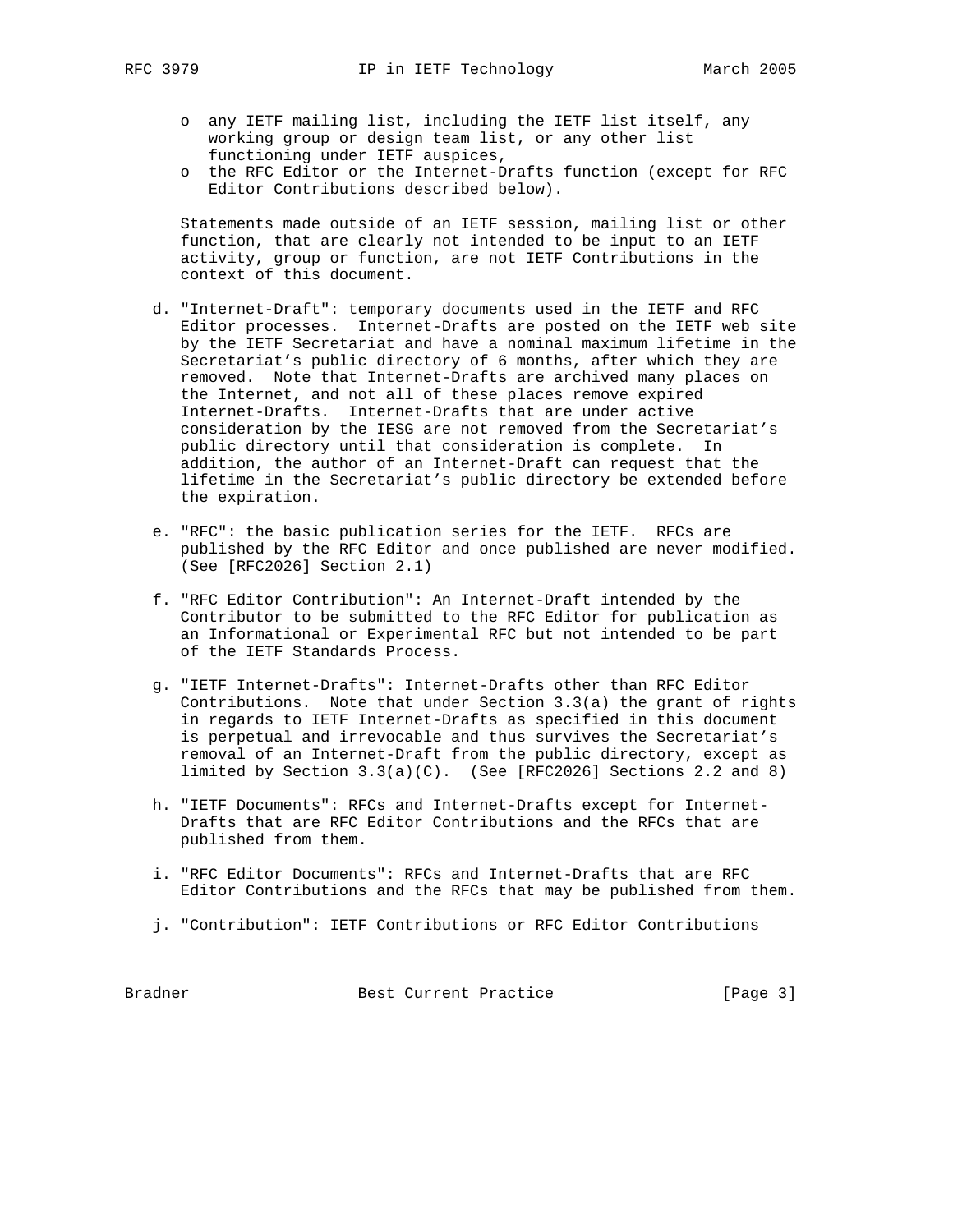- - o any IETF mailing list, including the IETF list itself, any working group or design team list, or any other list functioning under IETF auspices,
	- o the RFC Editor or the Internet-Drafts function (except for RFC Editor Contributions described below).

 Statements made outside of an IETF session, mailing list or other function, that are clearly not intended to be input to an IETF activity, group or function, are not IETF Contributions in the context of this document.

- d. "Internet-Draft": temporary documents used in the IETF and RFC Editor processes. Internet-Drafts are posted on the IETF web site by the IETF Secretariat and have a nominal maximum lifetime in the Secretariat's public directory of 6 months, after which they are removed. Note that Internet-Drafts are archived many places on the Internet, and not all of these places remove expired Internet-Drafts. Internet-Drafts that are under active consideration by the IESG are not removed from the Secretariat's public directory until that consideration is complete. In addition, the author of an Internet-Draft can request that the lifetime in the Secretariat's public directory be extended before the expiration.
- e. "RFC": the basic publication series for the IETF. RFCs are published by the RFC Editor and once published are never modified. (See [RFC2026] Section 2.1)
- f. "RFC Editor Contribution": An Internet-Draft intended by the Contributor to be submitted to the RFC Editor for publication as an Informational or Experimental RFC but not intended to be part of the IETF Standards Process.
- g. "IETF Internet-Drafts": Internet-Drafts other than RFC Editor Contributions. Note that under Section 3.3(a) the grant of rights in regards to IETF Internet-Drafts as specified in this document is perpetual and irrevocable and thus survives the Secretariat's removal of an Internet-Draft from the public directory, except as limited by Section  $3.3(a)(C)$ . (See [RFC2026] Sections 2.2 and 8)
- h. "IETF Documents": RFCs and Internet-Drafts except for Internet- Drafts that are RFC Editor Contributions and the RFCs that are published from them.
- i. "RFC Editor Documents": RFCs and Internet-Drafts that are RFC Editor Contributions and the RFCs that may be published from them.
- j. "Contribution": IETF Contributions or RFC Editor Contributions

Bradner Best Current Practice [Page 3]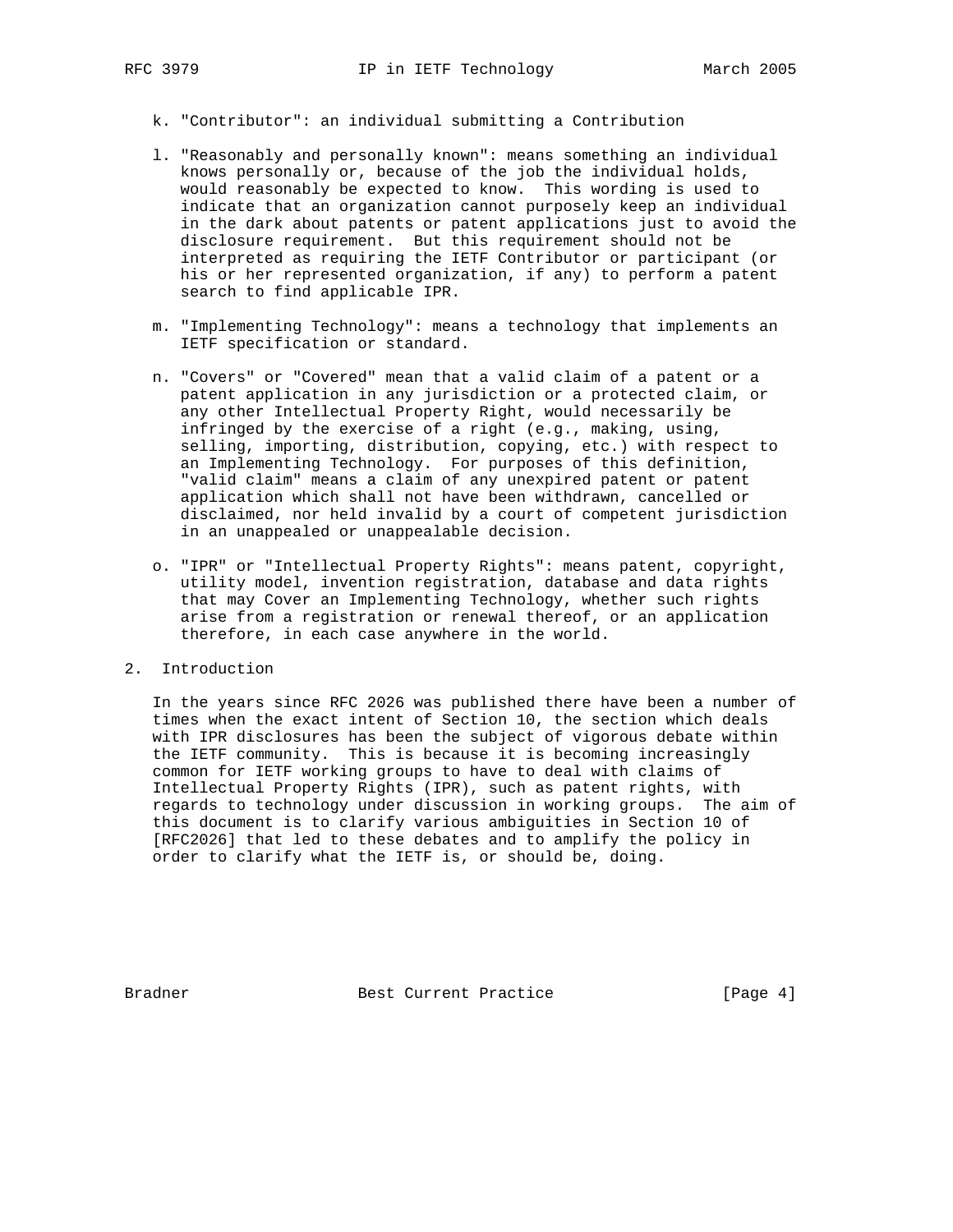- - k. "Contributor": an individual submitting a Contribution
	- l. "Reasonably and personally known": means something an individual knows personally or, because of the job the individual holds, would reasonably be expected to know. This wording is used to indicate that an organization cannot purposely keep an individual in the dark about patents or patent applications just to avoid the disclosure requirement. But this requirement should not be interpreted as requiring the IETF Contributor or participant (or his or her represented organization, if any) to perform a patent search to find applicable IPR.
	- m. "Implementing Technology": means a technology that implements an IETF specification or standard.
	- n. "Covers" or "Covered" mean that a valid claim of a patent or a patent application in any jurisdiction or a protected claim, or any other Intellectual Property Right, would necessarily be infringed by the exercise of a right (e.g., making, using, selling, importing, distribution, copying, etc.) with respect to an Implementing Technology. For purposes of this definition, "valid claim" means a claim of any unexpired patent or patent application which shall not have been withdrawn, cancelled or disclaimed, nor held invalid by a court of competent jurisdiction in an unappealed or unappealable decision.
	- o. "IPR" or "Intellectual Property Rights": means patent, copyright, utility model, invention registration, database and data rights that may Cover an Implementing Technology, whether such rights arise from a registration or renewal thereof, or an application therefore, in each case anywhere in the world.
- 2. Introduction

 In the years since RFC 2026 was published there have been a number of times when the exact intent of Section 10, the section which deals with IPR disclosures has been the subject of vigorous debate within the IETF community. This is because it is becoming increasingly common for IETF working groups to have to deal with claims of Intellectual Property Rights (IPR), such as patent rights, with regards to technology under discussion in working groups. The aim of this document is to clarify various ambiguities in Section 10 of [RFC2026] that led to these debates and to amplify the policy in order to clarify what the IETF is, or should be, doing.

Bradner Best Current Practice [Page 4]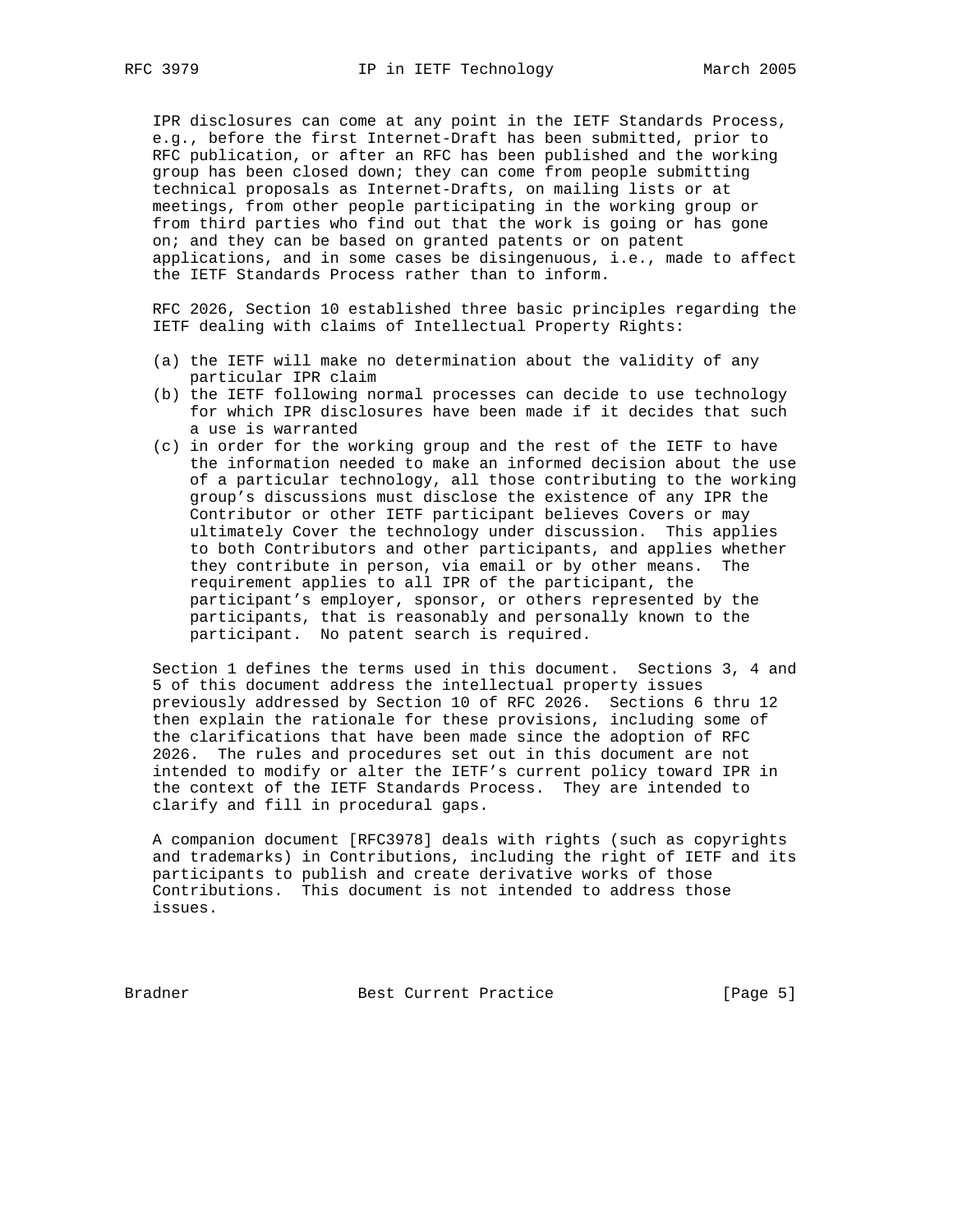IPR disclosures can come at any point in the IETF Standards Process, e.g., before the first Internet-Draft has been submitted, prior to RFC publication, or after an RFC has been published and the working group has been closed down; they can come from people submitting technical proposals as Internet-Drafts, on mailing lists or at meetings, from other people participating in the working group or from third parties who find out that the work is going or has gone on; and they can be based on granted patents or on patent applications, and in some cases be disingenuous, i.e., made to affect the IETF Standards Process rather than to inform.

 RFC 2026, Section 10 established three basic principles regarding the IETF dealing with claims of Intellectual Property Rights:

- (a) the IETF will make no determination about the validity of any particular IPR claim
- (b) the IETF following normal processes can decide to use technology for which IPR disclosures have been made if it decides that such a use is warranted
- (c) in order for the working group and the rest of the IETF to have the information needed to make an informed decision about the use of a particular technology, all those contributing to the working group's discussions must disclose the existence of any IPR the Contributor or other IETF participant believes Covers or may ultimately Cover the technology under discussion. This applies to both Contributors and other participants, and applies whether they contribute in person, via email or by other means. The requirement applies to all IPR of the participant, the participant's employer, sponsor, or others represented by the participants, that is reasonably and personally known to the participant. No patent search is required.

 Section 1 defines the terms used in this document. Sections 3, 4 and 5 of this document address the intellectual property issues previously addressed by Section 10 of RFC 2026. Sections 6 thru 12 then explain the rationale for these provisions, including some of the clarifications that have been made since the adoption of RFC 2026. The rules and procedures set out in this document are not intended to modify or alter the IETF's current policy toward IPR in the context of the IETF Standards Process. They are intended to clarify and fill in procedural gaps.

 A companion document [RFC3978] deals with rights (such as copyrights and trademarks) in Contributions, including the right of IETF and its participants to publish and create derivative works of those Contributions. This document is not intended to address those issues.

Bradner Best Current Practice [Page 5]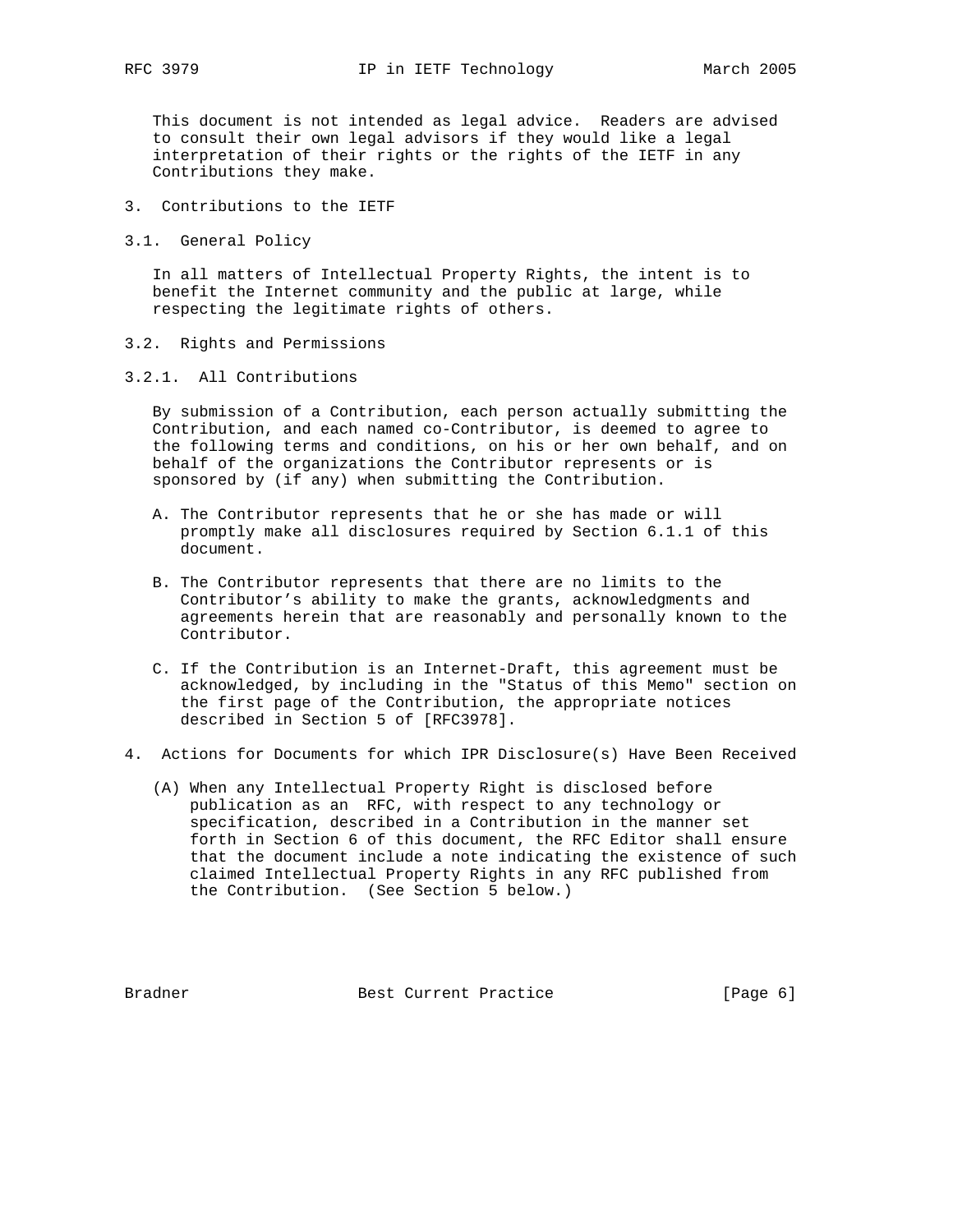This document is not intended as legal advice. Readers are advised to consult their own legal advisors if they would like a legal interpretation of their rights or the rights of the IETF in any Contributions they make.

- 3. Contributions to the IETF
- 3.1. General Policy

 In all matters of Intellectual Property Rights, the intent is to benefit the Internet community and the public at large, while respecting the legitimate rights of others.

- 3.2. Rights and Permissions
- 3.2.1. All Contributions

 By submission of a Contribution, each person actually submitting the Contribution, and each named co-Contributor, is deemed to agree to the following terms and conditions, on his or her own behalf, and on behalf of the organizations the Contributor represents or is sponsored by (if any) when submitting the Contribution.

- A. The Contributor represents that he or she has made or will promptly make all disclosures required by Section 6.1.1 of this document.
- B. The Contributor represents that there are no limits to the Contributor's ability to make the grants, acknowledgments and agreements herein that are reasonably and personally known to the Contributor.
- C. If the Contribution is an Internet-Draft, this agreement must be acknowledged, by including in the "Status of this Memo" section on the first page of the Contribution, the appropriate notices described in Section 5 of [RFC3978].
- 4. Actions for Documents for which IPR Disclosure(s) Have Been Received
	- (A) When any Intellectual Property Right is disclosed before publication as an RFC, with respect to any technology or specification, described in a Contribution in the manner set forth in Section 6 of this document, the RFC Editor shall ensure that the document include a note indicating the existence of such claimed Intellectual Property Rights in any RFC published from the Contribution. (See Section 5 below.)

Bradner Best Current Practice [Page 6]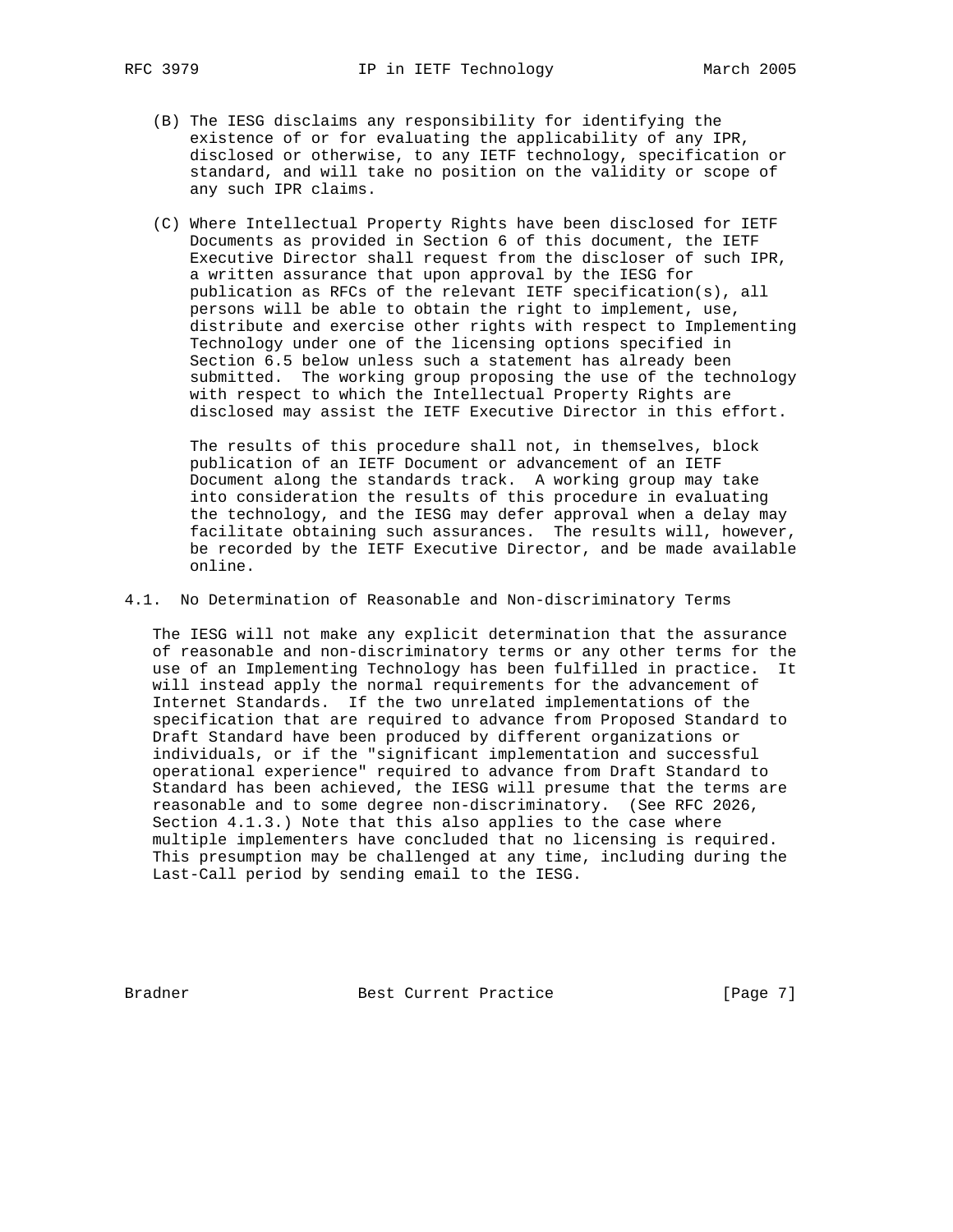- - (B) The IESG disclaims any responsibility for identifying the existence of or for evaluating the applicability of any IPR, disclosed or otherwise, to any IETF technology, specification or standard, and will take no position on the validity or scope of any such IPR claims.
	- (C) Where Intellectual Property Rights have been disclosed for IETF Documents as provided in Section 6 of this document, the IETF Executive Director shall request from the discloser of such IPR, a written assurance that upon approval by the IESG for publication as RFCs of the relevant IETF specification(s), all persons will be able to obtain the right to implement, use, distribute and exercise other rights with respect to Implementing Technology under one of the licensing options specified in Section 6.5 below unless such a statement has already been submitted. The working group proposing the use of the technology with respect to which the Intellectual Property Rights are disclosed may assist the IETF Executive Director in this effort.

 The results of this procedure shall not, in themselves, block publication of an IETF Document or advancement of an IETF Document along the standards track. A working group may take into consideration the results of this procedure in evaluating the technology, and the IESG may defer approval when a delay may facilitate obtaining such assurances. The results will, however, be recorded by the IETF Executive Director, and be made available online.

4.1. No Determination of Reasonable and Non-discriminatory Terms

 The IESG will not make any explicit determination that the assurance of reasonable and non-discriminatory terms or any other terms for the use of an Implementing Technology has been fulfilled in practice. It will instead apply the normal requirements for the advancement of Internet Standards. If the two unrelated implementations of the specification that are required to advance from Proposed Standard to Draft Standard have been produced by different organizations or individuals, or if the "significant implementation and successful operational experience" required to advance from Draft Standard to Standard has been achieved, the IESG will presume that the terms are reasonable and to some degree non-discriminatory. (See RFC 2026, Section 4.1.3.) Note that this also applies to the case where multiple implementers have concluded that no licensing is required. This presumption may be challenged at any time, including during the Last-Call period by sending email to the IESG.

Bradner Best Current Practice [Page 7]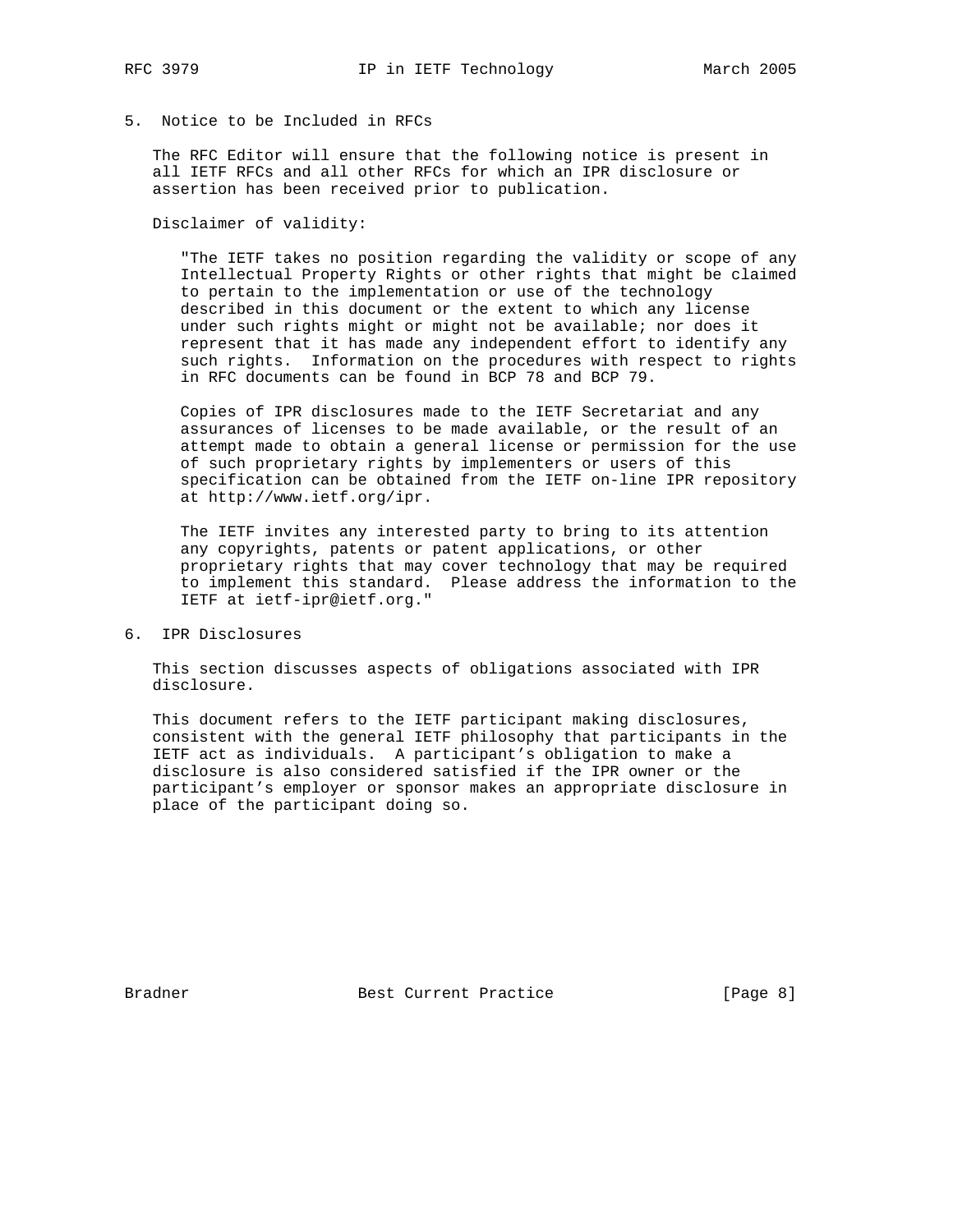# 5. Notice to be Included in RFCs

 The RFC Editor will ensure that the following notice is present in all IETF RFCs and all other RFCs for which an IPR disclosure or assertion has been received prior to publication.

Disclaimer of validity:

 "The IETF takes no position regarding the validity or scope of any Intellectual Property Rights or other rights that might be claimed to pertain to the implementation or use of the technology described in this document or the extent to which any license under such rights might or might not be available; nor does it represent that it has made any independent effort to identify any such rights. Information on the procedures with respect to rights in RFC documents can be found in BCP 78 and BCP 79.

 Copies of IPR disclosures made to the IETF Secretariat and any assurances of licenses to be made available, or the result of an attempt made to obtain a general license or permission for the use of such proprietary rights by implementers or users of this specification can be obtained from the IETF on-line IPR repository at http://www.ietf.org/ipr.

 The IETF invites any interested party to bring to its attention any copyrights, patents or patent applications, or other proprietary rights that may cover technology that may be required to implement this standard. Please address the information to the IETF at ietf-ipr@ietf.org."

6. IPR Disclosures

 This section discusses aspects of obligations associated with IPR disclosure.

 This document refers to the IETF participant making disclosures, consistent with the general IETF philosophy that participants in the IETF act as individuals. A participant's obligation to make a disclosure is also considered satisfied if the IPR owner or the participant's employer or sponsor makes an appropriate disclosure in place of the participant doing so.

Bradner Best Current Practice [Page 8]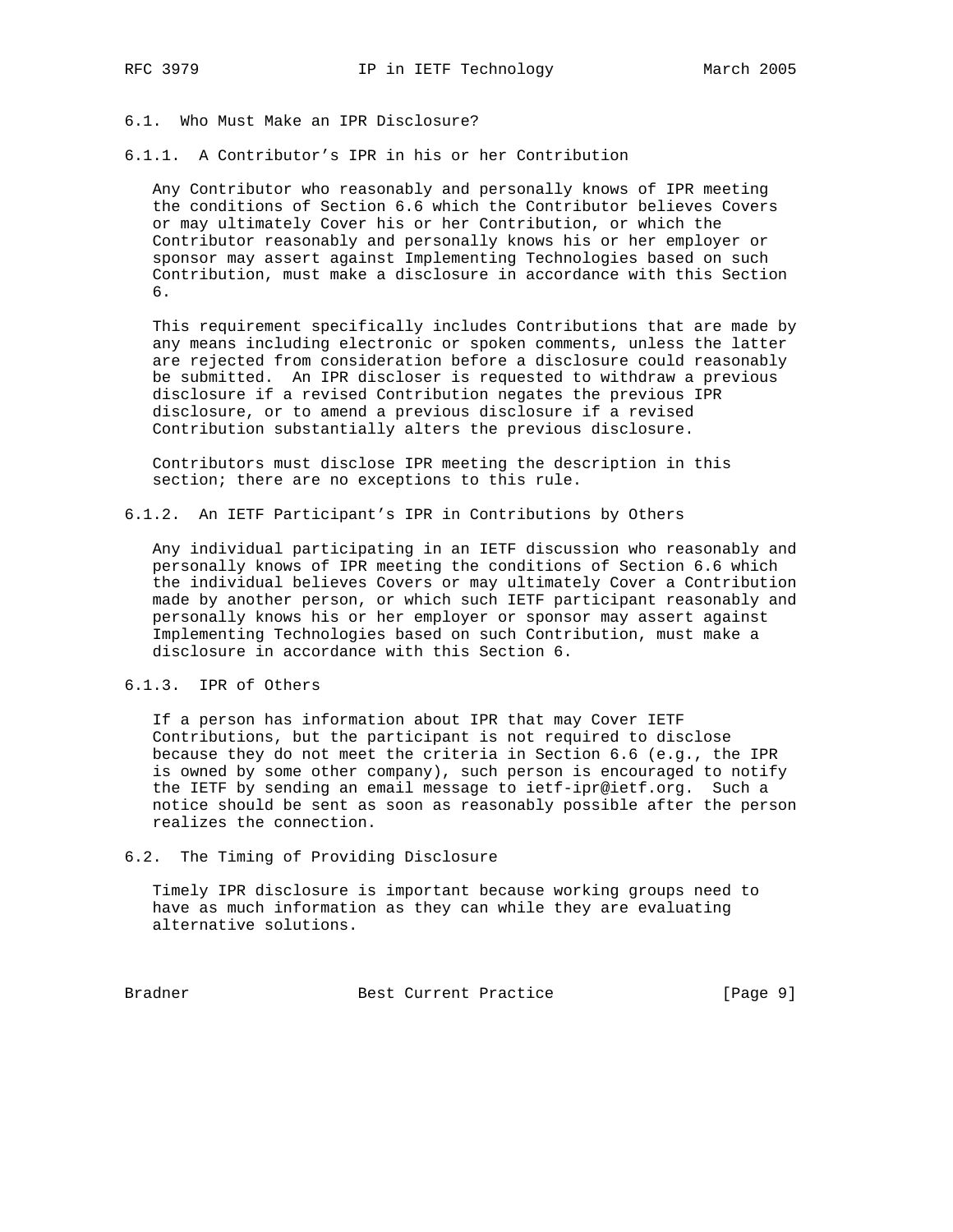- 6.1. Who Must Make an IPR Disclosure?
- 6.1.1. A Contributor's IPR in his or her Contribution

 Any Contributor who reasonably and personally knows of IPR meeting the conditions of Section 6.6 which the Contributor believes Covers or may ultimately Cover his or her Contribution, or which the Contributor reasonably and personally knows his or her employer or sponsor may assert against Implementing Technologies based on such Contribution, must make a disclosure in accordance with this Section 6.

 This requirement specifically includes Contributions that are made by any means including electronic or spoken comments, unless the latter are rejected from consideration before a disclosure could reasonably be submitted. An IPR discloser is requested to withdraw a previous disclosure if a revised Contribution negates the previous IPR disclosure, or to amend a previous disclosure if a revised Contribution substantially alters the previous disclosure.

 Contributors must disclose IPR meeting the description in this section; there are no exceptions to this rule.

6.1.2. An IETF Participant's IPR in Contributions by Others

 Any individual participating in an IETF discussion who reasonably and personally knows of IPR meeting the conditions of Section 6.6 which the individual believes Covers or may ultimately Cover a Contribution made by another person, or which such IETF participant reasonably and personally knows his or her employer or sponsor may assert against Implementing Technologies based on such Contribution, must make a disclosure in accordance with this Section 6.

## 6.1.3. IPR of Others

 If a person has information about IPR that may Cover IETF Contributions, but the participant is not required to disclose because they do not meet the criteria in Section 6.6 (e.g., the IPR is owned by some other company), such person is encouraged to notify the IETF by sending an email message to ietf-ipr@ietf.org. Such a notice should be sent as soon as reasonably possible after the person realizes the connection.

6.2. The Timing of Providing Disclosure

 Timely IPR disclosure is important because working groups need to have as much information as they can while they are evaluating alternative solutions.

Bradner Best Current Practice [Page 9]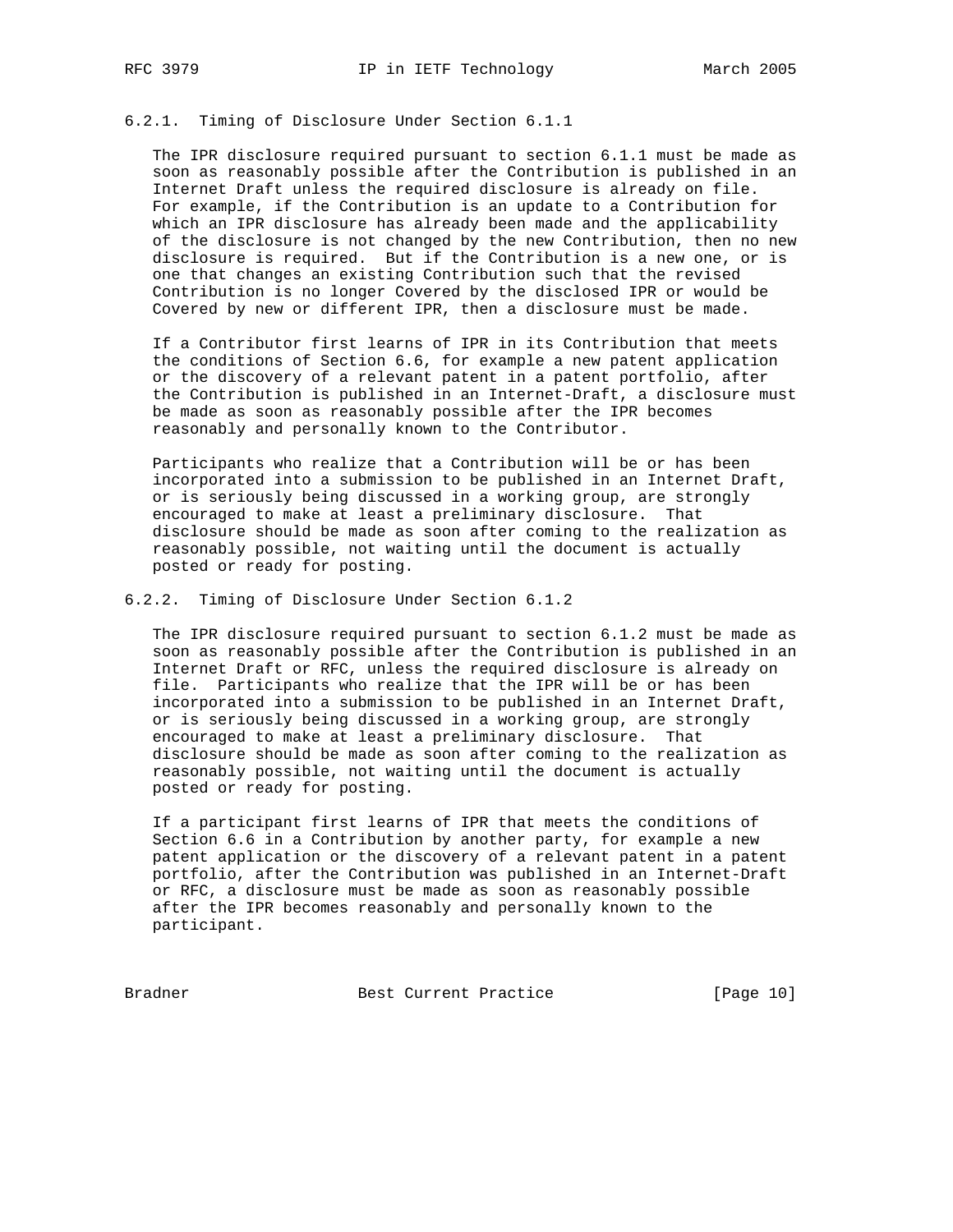## 6.2.1. Timing of Disclosure Under Section 6.1.1

 The IPR disclosure required pursuant to section 6.1.1 must be made as soon as reasonably possible after the Contribution is published in an Internet Draft unless the required disclosure is already on file. For example, if the Contribution is an update to a Contribution for which an IPR disclosure has already been made and the applicability of the disclosure is not changed by the new Contribution, then no new disclosure is required. But if the Contribution is a new one, or is one that changes an existing Contribution such that the revised Contribution is no longer Covered by the disclosed IPR or would be Covered by new or different IPR, then a disclosure must be made.

 If a Contributor first learns of IPR in its Contribution that meets the conditions of Section 6.6, for example a new patent application or the discovery of a relevant patent in a patent portfolio, after the Contribution is published in an Internet-Draft, a disclosure must be made as soon as reasonably possible after the IPR becomes reasonably and personally known to the Contributor.

 Participants who realize that a Contribution will be or has been incorporated into a submission to be published in an Internet Draft, or is seriously being discussed in a working group, are strongly encouraged to make at least a preliminary disclosure. That disclosure should be made as soon after coming to the realization as reasonably possible, not waiting until the document is actually posted or ready for posting.

6.2.2. Timing of Disclosure Under Section 6.1.2

 The IPR disclosure required pursuant to section 6.1.2 must be made as soon as reasonably possible after the Contribution is published in an Internet Draft or RFC, unless the required disclosure is already on file. Participants who realize that the IPR will be or has been incorporated into a submission to be published in an Internet Draft, or is seriously being discussed in a working group, are strongly encouraged to make at least a preliminary disclosure. That disclosure should be made as soon after coming to the realization as reasonably possible, not waiting until the document is actually posted or ready for posting.

 If a participant first learns of IPR that meets the conditions of Section 6.6 in a Contribution by another party, for example a new patent application or the discovery of a relevant patent in a patent portfolio, after the Contribution was published in an Internet-Draft or RFC, a disclosure must be made as soon as reasonably possible after the IPR becomes reasonably and personally known to the participant.

Bradner Best Current Practice [Page 10]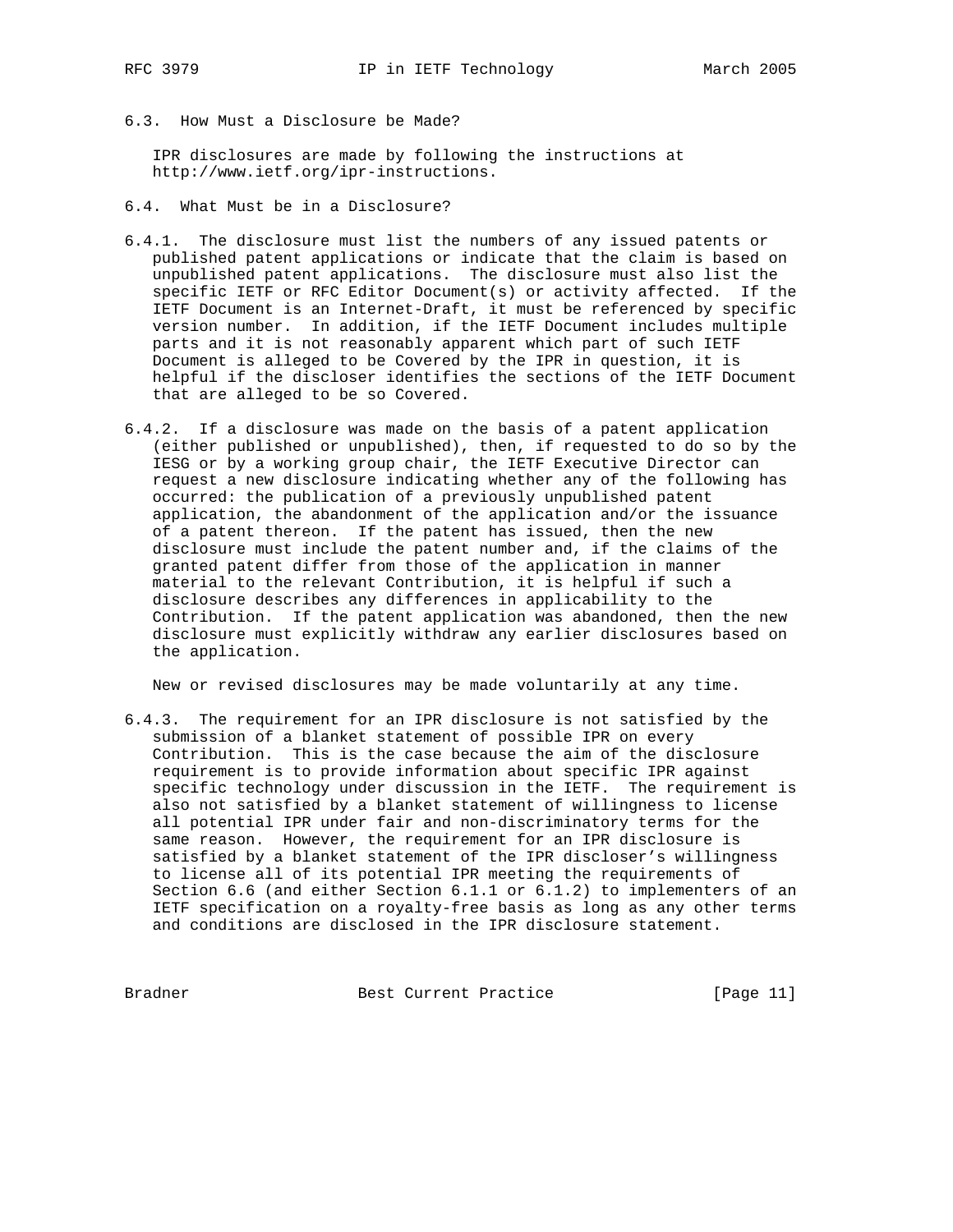6.3. How Must a Disclosure be Made?

 IPR disclosures are made by following the instructions at http://www.ietf.org/ipr-instructions.

- 6.4. What Must be in a Disclosure?
- 6.4.1. The disclosure must list the numbers of any issued patents or published patent applications or indicate that the claim is based on unpublished patent applications. The disclosure must also list the specific IETF or RFC Editor Document(s) or activity affected. If the IETF Document is an Internet-Draft, it must be referenced by specific version number. In addition, if the IETF Document includes multiple parts and it is not reasonably apparent which part of such IETF Document is alleged to be Covered by the IPR in question, it is helpful if the discloser identifies the sections of the IETF Document that are alleged to be so Covered.
- 6.4.2. If a disclosure was made on the basis of a patent application (either published or unpublished), then, if requested to do so by the IESG or by a working group chair, the IETF Executive Director can request a new disclosure indicating whether any of the following has occurred: the publication of a previously unpublished patent application, the abandonment of the application and/or the issuance of a patent thereon. If the patent has issued, then the new disclosure must include the patent number and, if the claims of the granted patent differ from those of the application in manner material to the relevant Contribution, it is helpful if such a disclosure describes any differences in applicability to the Contribution. If the patent application was abandoned, then the new disclosure must explicitly withdraw any earlier disclosures based on the application.

New or revised disclosures may be made voluntarily at any time.

6.4.3. The requirement for an IPR disclosure is not satisfied by the submission of a blanket statement of possible IPR on every Contribution. This is the case because the aim of the disclosure requirement is to provide information about specific IPR against specific technology under discussion in the IETF. The requirement is also not satisfied by a blanket statement of willingness to license all potential IPR under fair and non-discriminatory terms for the same reason. However, the requirement for an IPR disclosure is satisfied by a blanket statement of the IPR discloser's willingness to license all of its potential IPR meeting the requirements of Section 6.6 (and either Section 6.1.1 or 6.1.2) to implementers of an IETF specification on a royalty-free basis as long as any other terms and conditions are disclosed in the IPR disclosure statement.

Bradner Best Current Practice [Page 11]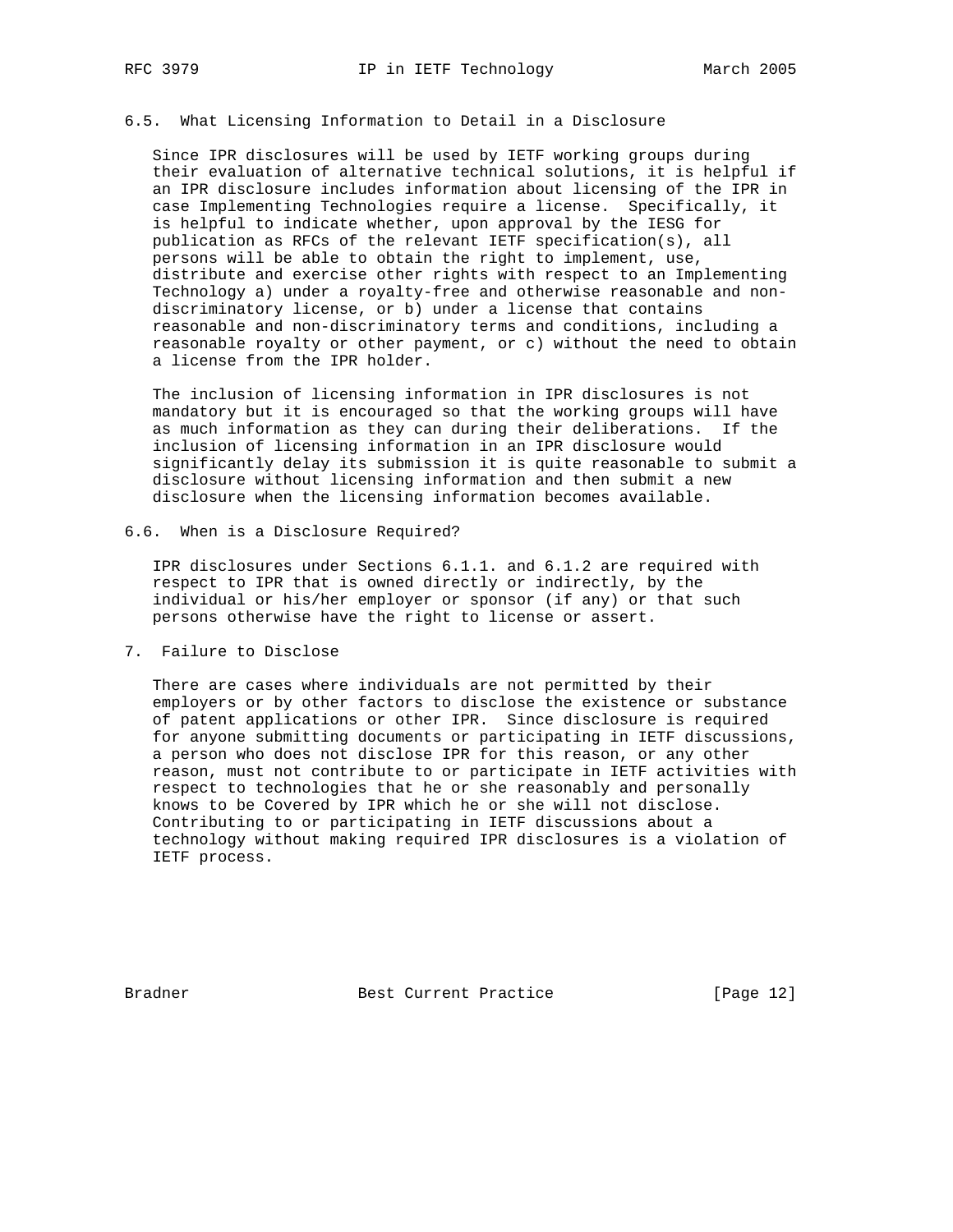## 6.5. What Licensing Information to Detail in a Disclosure

 Since IPR disclosures will be used by IETF working groups during their evaluation of alternative technical solutions, it is helpful if an IPR disclosure includes information about licensing of the IPR in case Implementing Technologies require a license. Specifically, it is helpful to indicate whether, upon approval by the IESG for publication as RFCs of the relevant IETF specification(s), all persons will be able to obtain the right to implement, use, distribute and exercise other rights with respect to an Implementing Technology a) under a royalty-free and otherwise reasonable and non discriminatory license, or b) under a license that contains reasonable and non-discriminatory terms and conditions, including a reasonable royalty or other payment, or c) without the need to obtain a license from the IPR holder.

 The inclusion of licensing information in IPR disclosures is not mandatory but it is encouraged so that the working groups will have as much information as they can during their deliberations. If the inclusion of licensing information in an IPR disclosure would significantly delay its submission it is quite reasonable to submit a disclosure without licensing information and then submit a new disclosure when the licensing information becomes available.

6.6. When is a Disclosure Required?

 IPR disclosures under Sections 6.1.1. and 6.1.2 are required with respect to IPR that is owned directly or indirectly, by the individual or his/her employer or sponsor (if any) or that such persons otherwise have the right to license or assert.

7. Failure to Disclose

 There are cases where individuals are not permitted by their employers or by other factors to disclose the existence or substance of patent applications or other IPR. Since disclosure is required for anyone submitting documents or participating in IETF discussions, a person who does not disclose IPR for this reason, or any other reason, must not contribute to or participate in IETF activities with respect to technologies that he or she reasonably and personally knows to be Covered by IPR which he or she will not disclose. Contributing to or participating in IETF discussions about a technology without making required IPR disclosures is a violation of IETF process.

Bradner Best Current Practice [Page 12]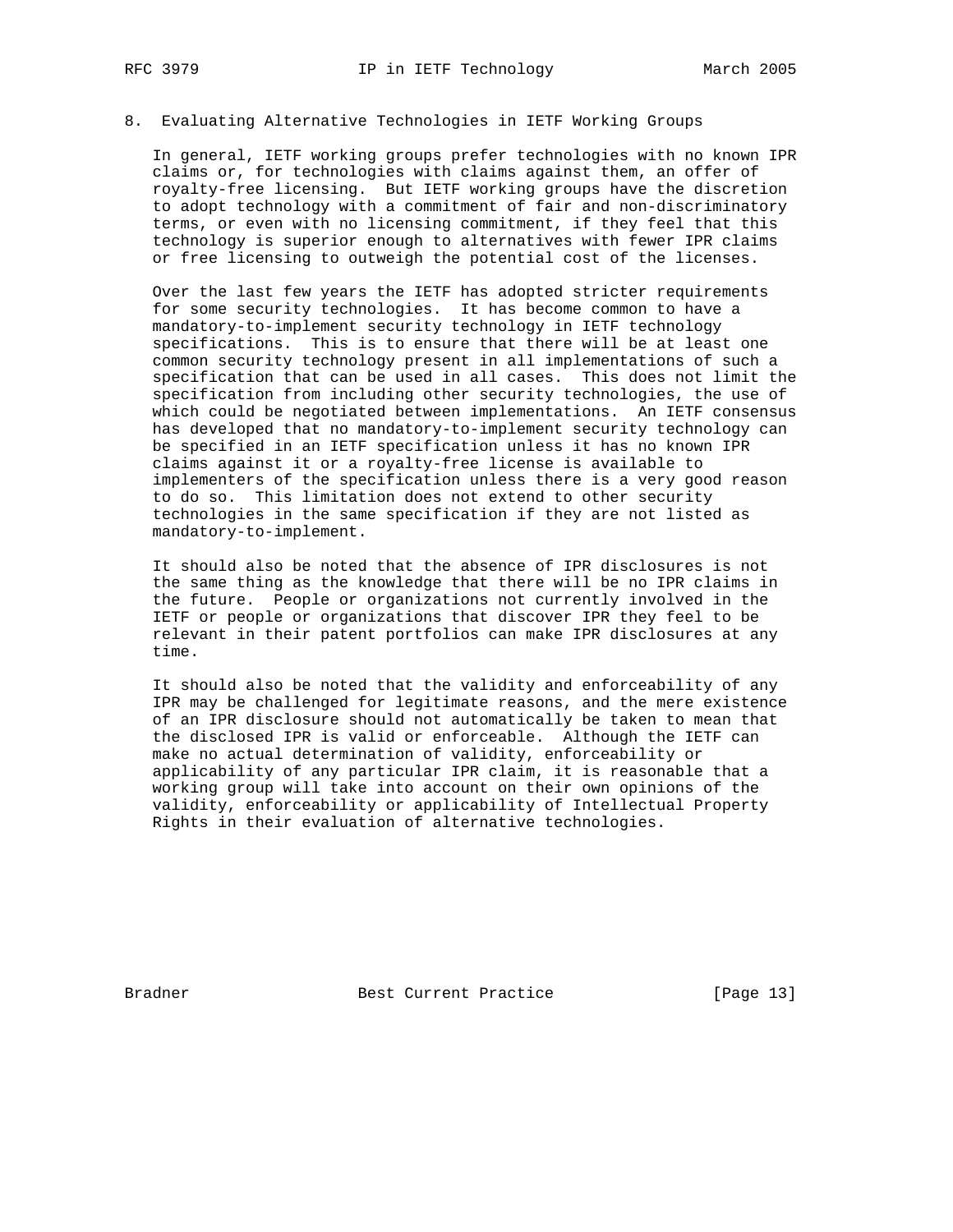## 8. Evaluating Alternative Technologies in IETF Working Groups

 In general, IETF working groups prefer technologies with no known IPR claims or, for technologies with claims against them, an offer of royalty-free licensing. But IETF working groups have the discretion to adopt technology with a commitment of fair and non-discriminatory terms, or even with no licensing commitment, if they feel that this technology is superior enough to alternatives with fewer IPR claims or free licensing to outweigh the potential cost of the licenses.

 Over the last few years the IETF has adopted stricter requirements for some security technologies. It has become common to have a mandatory-to-implement security technology in IETF technology specifications. This is to ensure that there will be at least one common security technology present in all implementations of such a specification that can be used in all cases. This does not limit the specification from including other security technologies, the use of which could be negotiated between implementations. An IETF consensus has developed that no mandatory-to-implement security technology can be specified in an IETF specification unless it has no known IPR claims against it or a royalty-free license is available to implementers of the specification unless there is a very good reason to do so. This limitation does not extend to other security technologies in the same specification if they are not listed as mandatory-to-implement.

 It should also be noted that the absence of IPR disclosures is not the same thing as the knowledge that there will be no IPR claims in the future. People or organizations not currently involved in the IETF or people or organizations that discover IPR they feel to be relevant in their patent portfolios can make IPR disclosures at any time.

 It should also be noted that the validity and enforceability of any IPR may be challenged for legitimate reasons, and the mere existence of an IPR disclosure should not automatically be taken to mean that the disclosed IPR is valid or enforceable. Although the IETF can make no actual determination of validity, enforceability or applicability of any particular IPR claim, it is reasonable that a working group will take into account on their own opinions of the validity, enforceability or applicability of Intellectual Property Rights in their evaluation of alternative technologies.

Bradner Best Current Practice [Page 13]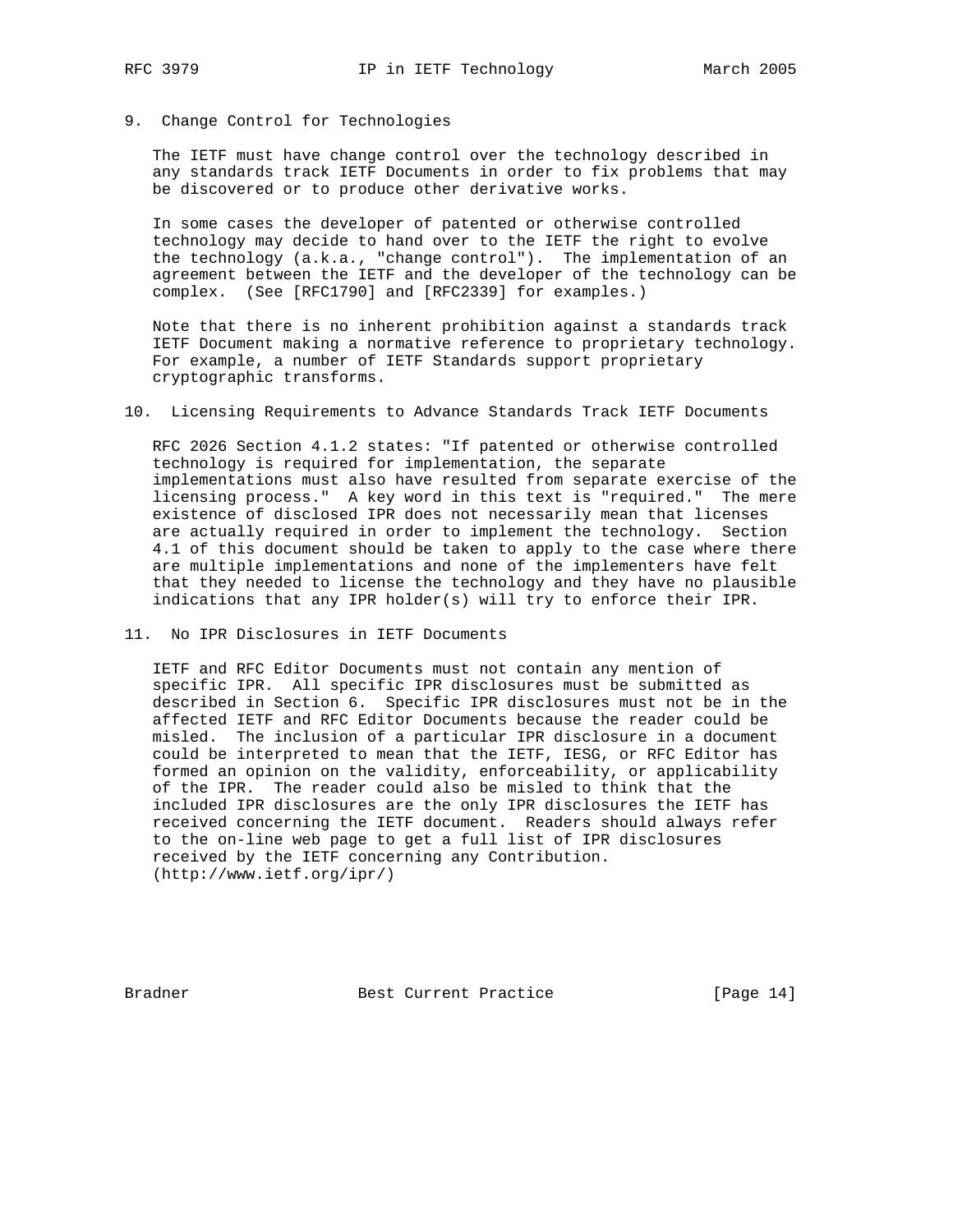# 9. Change Control for Technologies

 The IETF must have change control over the technology described in any standards track IETF Documents in order to fix problems that may be discovered or to produce other derivative works.

 In some cases the developer of patented or otherwise controlled technology may decide to hand over to the IETF the right to evolve the technology (a.k.a., "change control"). The implementation of an agreement between the IETF and the developer of the technology can be complex. (See [RFC1790] and [RFC2339] for examples.)

 Note that there is no inherent prohibition against a standards track IETF Document making a normative reference to proprietary technology. For example, a number of IETF Standards support proprietary cryptographic transforms.

10. Licensing Requirements to Advance Standards Track IETF Documents

 RFC 2026 Section 4.1.2 states: "If patented or otherwise controlled technology is required for implementation, the separate implementations must also have resulted from separate exercise of the licensing process." A key word in this text is "required." The mere existence of disclosed IPR does not necessarily mean that licenses are actually required in order to implement the technology. Section 4.1 of this document should be taken to apply to the case where there are multiple implementations and none of the implementers have felt that they needed to license the technology and they have no plausible indications that any IPR holder(s) will try to enforce their IPR.

11. No IPR Disclosures in IETF Documents

 IETF and RFC Editor Documents must not contain any mention of specific IPR. All specific IPR disclosures must be submitted as described in Section 6. Specific IPR disclosures must not be in the affected IETF and RFC Editor Documents because the reader could be misled. The inclusion of a particular IPR disclosure in a document could be interpreted to mean that the IETF, IESG, or RFC Editor has formed an opinion on the validity, enforceability, or applicability of the IPR. The reader could also be misled to think that the included IPR disclosures are the only IPR disclosures the IETF has received concerning the IETF document. Readers should always refer to the on-line web page to get a full list of IPR disclosures received by the IETF concerning any Contribution. (http://www.ietf.org/ipr/)

Bradner Best Current Practice [Page 14]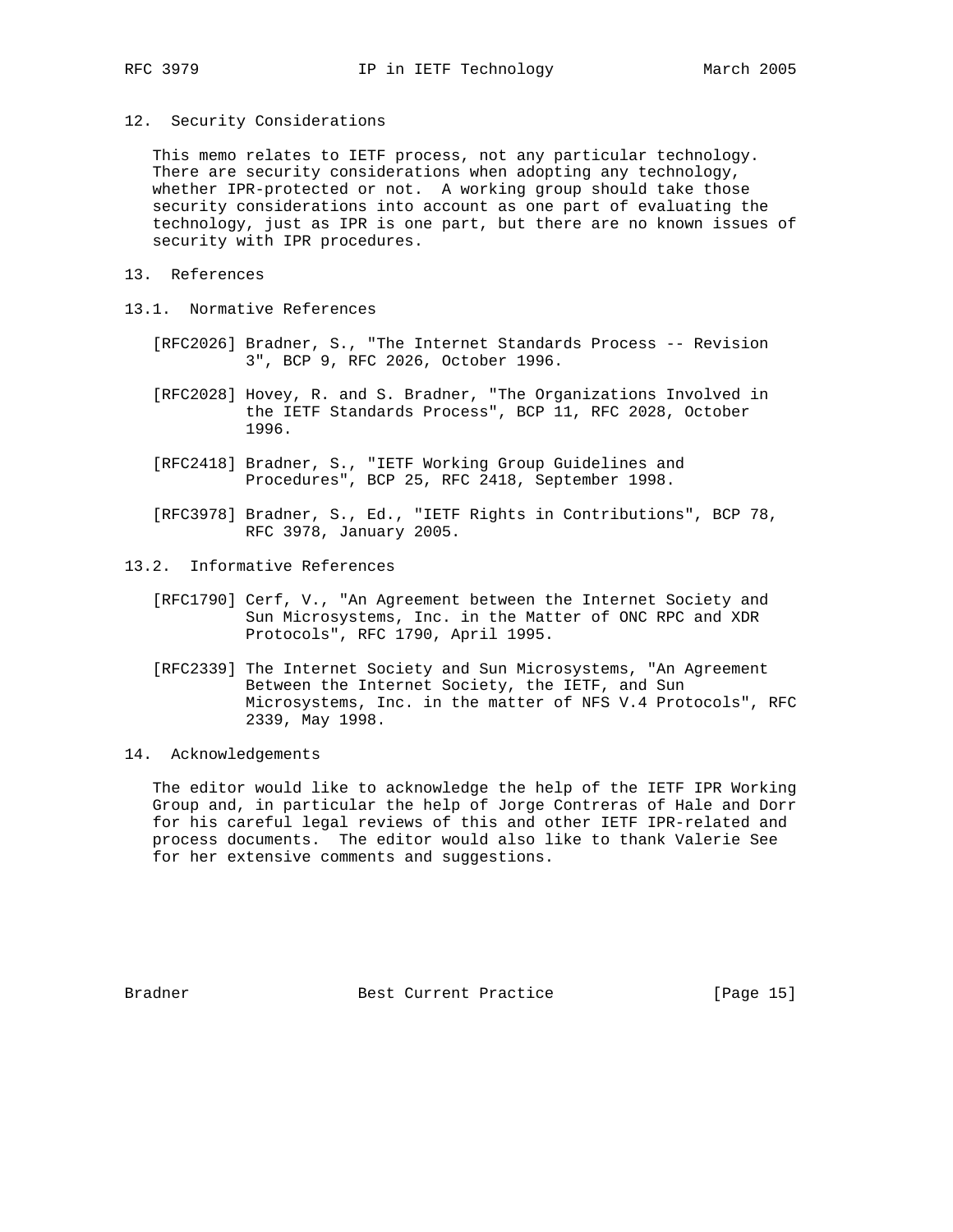12. Security Considerations

 This memo relates to IETF process, not any particular technology. There are security considerations when adopting any technology, whether IPR-protected or not. A working group should take those security considerations into account as one part of evaluating the technology, just as IPR is one part, but there are no known issues of security with IPR procedures.

- 13. References
- 13.1. Normative References
	- [RFC2026] Bradner, S., "The Internet Standards Process -- Revision 3", BCP 9, RFC 2026, October 1996.
	- [RFC2028] Hovey, R. and S. Bradner, "The Organizations Involved in the IETF Standards Process", BCP 11, RFC 2028, October 1996.
	- [RFC2418] Bradner, S., "IETF Working Group Guidelines and Procedures", BCP 25, RFC 2418, September 1998.
	- [RFC3978] Bradner, S., Ed., "IETF Rights in Contributions", BCP 78, RFC 3978, January 2005.
- 13.2. Informative References
	- [RFC1790] Cerf, V., "An Agreement between the Internet Society and Sun Microsystems, Inc. in the Matter of ONC RPC and XDR Protocols", RFC 1790, April 1995.
	- [RFC2339] The Internet Society and Sun Microsystems, "An Agreement Between the Internet Society, the IETF, and Sun Microsystems, Inc. in the matter of NFS V.4 Protocols", RFC 2339, May 1998.
- 14. Acknowledgements

 The editor would like to acknowledge the help of the IETF IPR Working Group and, in particular the help of Jorge Contreras of Hale and Dorr for his careful legal reviews of this and other IETF IPR-related and process documents. The editor would also like to thank Valerie See for her extensive comments and suggestions.

Bradner Best Current Practice [Page 15]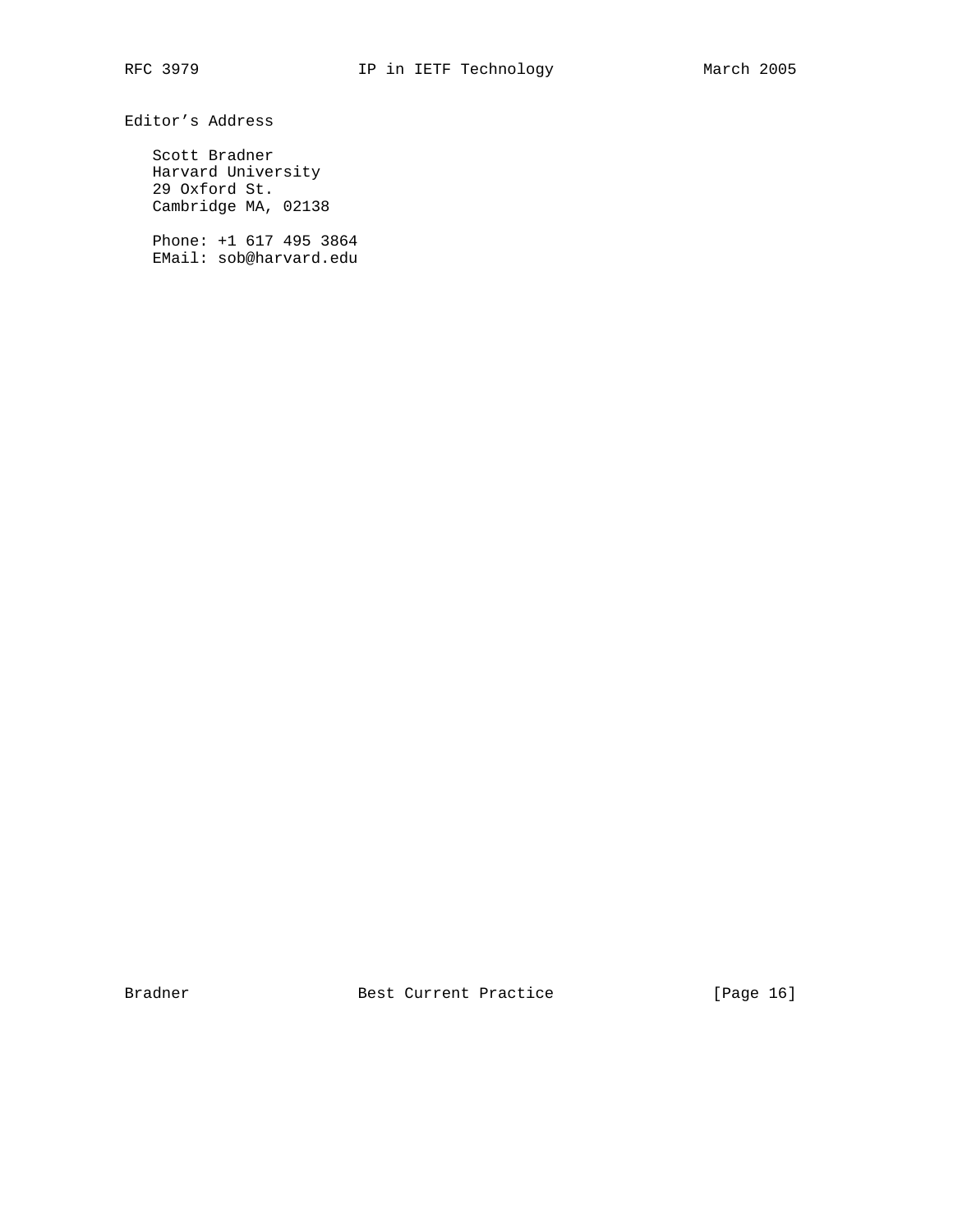Editor's Address

 Scott Bradner Harvard University 29 Oxford St. Cambridge MA, 02138

 Phone: +1 617 495 3864 EMail: sob@harvard.edu

Bradner Best Current Practice [Page 16]